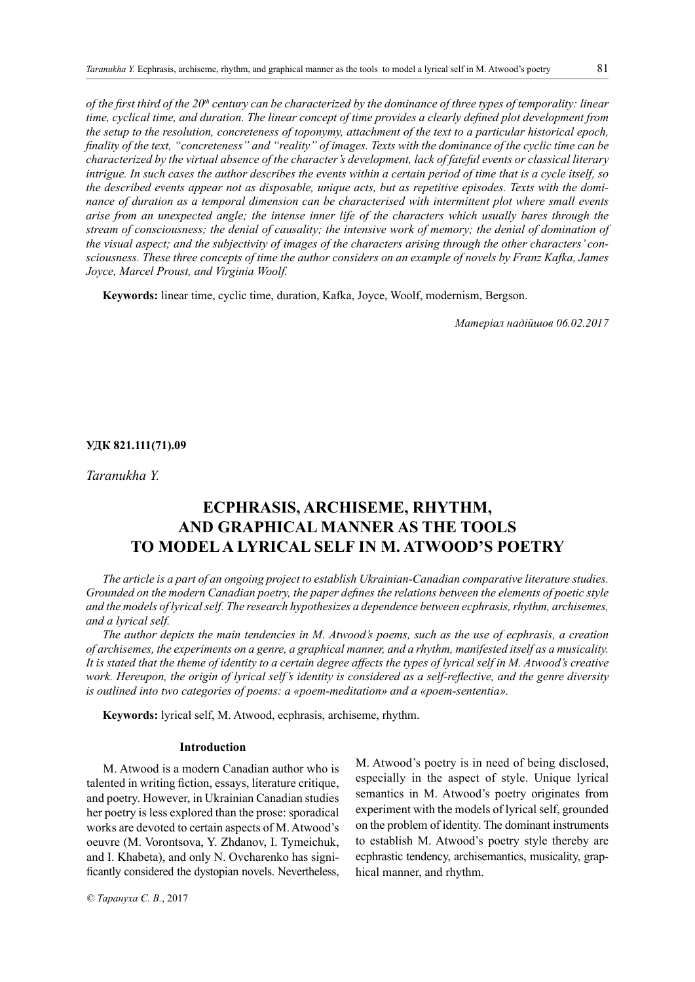*of the first third of the 20<sup>th</sup> century can be characterized by the dominance of three types of temporality: linear time, cyclical time, and duration. The linear concept of time provides a clearly defined plot development from the setup to the resolution, concreteness of toponymy, attachment of the text to a particular historical epoch, finality of the text, "concreteness" and "reality" of images. Texts with the dominance of the cyclic time can be characterized by the virtual absence of the character's development, lack of fateful events or classical literary intrigue. In such cases the author describes the events within a certain period of time that is a cycle itself, so the described events appear not as disposable, unique acts, but as repetitive episodes. Texts with the dominance of duration as a temporal dimension can be characterised with intermittent plot where small events arise from an unexpected angle; the intense inner life of the characters which usually bares through the stream of consciousness; the denial of causality; the intensive work of memory; the denial of domination of the visual aspect; and the subjectivity of images of the characters arising through the other characters' consciousness. These three concepts of time the author considers on an example of novels by Franz Kafka, James Joyce, Marcel Proust, and Virginia Woolf.*

**Keywords:** linear time, cyclic time, duration, Kafka, Joyce, Woolf, modernism, Bergson.

*Матеріал надійшов 06.02.2017*

#### **УДК 821.111(71).09**

*Taranukha Y.*

# **Ecphrasis, archiseme, rhythm, and graphical manner as the tools to modela lyrical self in M. Atwood's poetry**

*The article is a part of an ongoing project to establish Ukrainian-Canadian comparative literature studies. Grounded on the modern Canadian poetry, the paper defines the relations between the elements of poetic style and the models of lyrical self. The research hypothesizes a dependence between ecphrasis, rhythm, archisemes, and a lyrical self.* 

*The author depicts the main tendencies in M. Atwood's poems, such as the use of ecphrasis, a creation of archisemes, the experiments on a genre, a graphical manner, and a rhythm, manifested itself as a musicality. It is stated that the theme of identity to a certain degree affects the types of lyrical self in M. Atwood's creative work. Hereupon, the origin of lyrical self's identity is considered as a self-reflective, and the genre diversity is outlined into two categories of poems: a «рoem-meditation» and a «рoem-sententia».* 

**Keywords:** lyrical self, M. Atwood, ecphrasis, archiseme, rhythm.

## **Introduction**

M. Atwood is a modern Canadian author who is talented in writing fiction, essays, literature critique, and poetry. However, in Ukrainian Canadian studies her poetry is less explored than the prose: sporadical works are devoted to certain aspects of M. Atwood's oeuvre (M. Vorontsova, Y. Zhdanov, I. Tymeichuk, and I. Khabeta), and only N. Ovcharenko has significantly considered the dystopian novels. Nevertheless,

M. Atwood's poetry is in need of being disclosed, especially in the aspect of style. Unique lyrical semantics in M. Atwood's poetry originates from experiment with the models of lyrical self, grounded on the problem of identity. The dominant instruments to establish M. Atwood's poetry style thereby are ecphrastic tendency, archisemantics, musicality, graphical manner, and rhythm.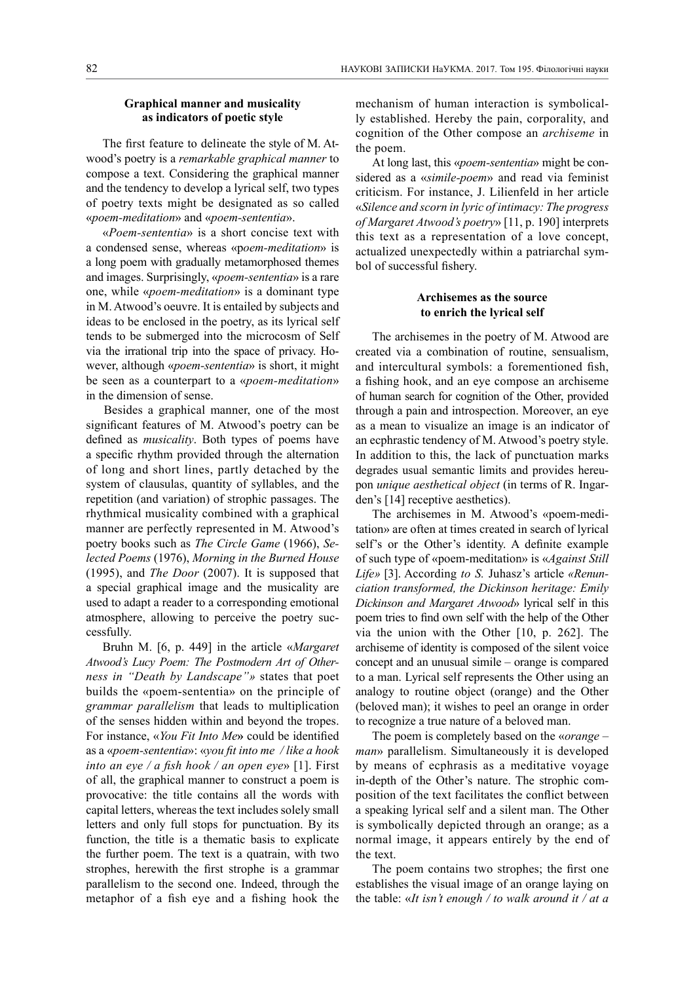#### **Graphical manner and musicality as indicators of poetic style**

The first feature to delineate the style of M. Atwood's poetry is a *remarkable graphical manner* to compose a text. Considering the graphical manner and the tendency to develop a lyrical self, two types of poetry texts might be designated as so called «*poem-meditation*» and «*poem-sententia*».

«*Poem-sententia*» is a short concise text with a condensed sense, whereas «p*oem-meditation*» is a long poem with gradually metamorphosed themes and images. Surprisingly, «*poem-sententia*» is a rare one, while «*poem-meditation*» is a dominant type in M. Atwood's oeuvre. It is entailed by subjects and ideas to be enclosed in the poetry, as its lyrical self tends to be submerged into the microcosm of Self via the irrational trip into the space of privacy. However, although «*poem-sententia*» is short, it might be seen as a counterpart to a «*poem-meditation*» in the dimension of sense.

Besides a graphical manner, one of the most significant features of M. Atwood's poetry can be defined as *musicality*. Both types of poems have a specific rhythm provided through the alternation of long and short lines, partly detached by the system of clausulas, quantity of syllables, and the repetition (and variation) of strophic passages. The rhythmical musicality combined with a graphical manner are perfectly represented in M. Atwood's poetry books such as *The Circle Game* (1966), *Selected Poems* (1976), *Morning in the Burned House* (1995), and *The Door* (2007). It is supposed that a special graphical image and the musicality are used to adapt a reader to a corresponding emotional atmosphere, allowing to perceive the poetry successfully.

Bruhn M. [6, p. 449] in the article «*Margaret Atwood's Lucy Poem: The Postmodern Art of Otherness in "Death by Landscape"»* states that poet builds the «poem-sententia» on the principle of *grammar parallelism* that leads to multiplication of the senses hidden within and beyond the tropes. For instance, «*You Fit Into Me***»** could be identified as a «*poem-sententia*»: «*you fit into me / like a hook into an eye / a fish hook / an open eye*» [1]. First of all, the graphical manner to construct a poem is provocative: the title contains all the words with capital letters, whereas the text includes solely small letters and only full stops for punctuation. By its function, the title is a thematic basis to explicate the further poem. The text is a quatrain, with two strophes, herewith the first strophe is a grammar parallelism to the second one. Indeed, through the metaphor of a fish eye and a fishing hook the mechanism of human interaction is symbolically established. Hereby the pain, corporality, and cognition of the Other compose an *archiseme* in the poem.

At long last, this «*poem-sententia*» might be considered as a «*simile-poem*» and read via feminist criticism. For instance, J. Lilienfeld in her article «*Silence and scorn in lyric of intimacy: The progress of Margaret Atwood's poetry*» [11, p. 190] interprets this text as a representation of a love concept, actualized unexpectedly within a patriarchal symbol of successful fishery.

#### **Archisemes as the source to enrich the lyrical self**

The archisemes in the poetry of M. Atwood are created via a combination of routine, sensualism, and intercultural symbols: a forementioned fish, a fishing hook, and an eye compose an archiseme of human search for cognition of the Other, provided through a pain and introspection. Moreover, an eye as a mean to visualize an image is an indicator of an ecphrastic tendency of M. Atwood's poetry style. In addition to this, the lack of punctuation marks degrades usual semantic limits and provides hereupon *unique aesthetical object* (in terms of R. Ingarden's [14] receptive aesthetics).

The archisemes in M. Atwood's «poem-meditation» are often at times created in search of lyrical self's or the Other's identity. A definite example of such type of «poem-meditation» is «*Against Still Life»* [3]. According *to S.* Juhasz's article *«Renunciation transformed, the Dickinson heritage: Emily Dickinson and Margaret Atwood*» lyrical self in this poem tries to find own self with the help of the Other via the union with the Other [10, p. 262]. The archiseme of identity is composed of the silent voice concept and an unusual simile – orange is compared to a man. Lyrical self represents the Other using an analogy to routine object (orange) and the Other (beloved man); it wishes to peel an orange in order to recognize a true nature of a beloved man.

The poem is completely based on the «*orange – man*» parallelism. Simultaneously it is developed by means of ecphrasis as a meditative voyage in-depth of the Other's nature. The strophic composition of the text facilitates the conflict between a speaking lyrical self and a silent man. The Other is symbolically depicted through an orange; as a normal image, it appears entirely by the end of the text.

The poem contains two strophes; the first one establishes the visual image of an orange laying on the table: «*It isn't enough / to walk around it / at a*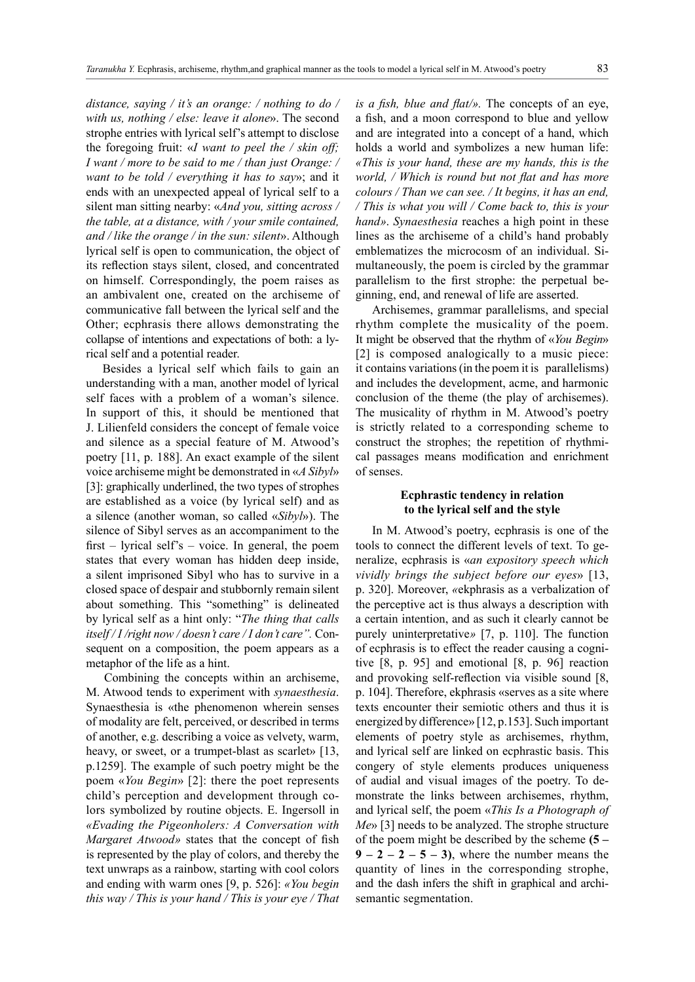*distance, saying / it's an orange: / nothing to do / with us, nothing / else: leave it alone*». The second strophe entries with lyrical self's attempt to disclose the foregoing fruit: «*I want to peel the / skin off; I want / more to be said to me / than just Orange: / want to be told / everything it has to say*»; and it ends with an unexpected appeal of lyrical self to a silent man sitting nearby: «*And you, sitting across / the table, at a distance, with / your smile contained, and / like the orange / in the sun: silent*». Although lyrical self is open to communication, the object of its reflection stays silent, closed, and concentrated on himself. Correspondingly, the poem raises as an ambivalent one, created on the archiseme of communicative fall between the lyrical self and the Other; ecphrasis there allows demonstrating the collapse of intentions and expectations of both: a lyrical self and a potential reader.

Besides a lyrical self which fails to gain an understanding with a man, another model of lyrical self faces with a problem of a woman's silence. In support of this, it should be mentioned that J. Lilienfeld considers the concept of female voice and silence as a special feature of M. Atwood's poetry [11, p. 188]. An exact example of the silent voice archiseme might be demonstrated in «*A Sibyl*» [3]: graphically underlined, the two types of strophes are established as a voice (by lyrical self) and as a silence (another woman, so called «*Sibyl*»). The silence of Sibyl serves as an accompaniment to the first – lyrical self's – voice. In general, the poem states that every woman has hidden deep inside, a silent imprisoned Sibyl who has to survive in a closed space of despair and stubbornly remain silent about something. This "something" is delineated by lyrical self as a hint only: "*The thing that calls itself / I /right now / doesn't care / I don't care".* Consequent on a composition, the poem appears as a metaphor of the life as a hint.

Combining the concepts within an archiseme, M. Atwood tends to experiment with *synaesthesia*. Synaesthesia is «the phenomenon wherein senses of modality are felt, perceived, or described in terms of another, e.g. describing a voice as velvety, warm, heavy, or sweet, or a trumpet-blast as scarlet» [13, p.1259]. The example of such poetry might be the poem «*You Begin*» [2]: there the poet represents child's perception and development through colors symbolized by routine objects. E. Ingersoll in *«Evading the Pigeonholers: A Conversation with Margaret Atwood»* states that the concept of fish is represented by the play of colors, and thereby the text unwraps as a rainbow, starting with cool colors and ending with warm ones [9, p. 526]: *«You begin this way / This is your hand / This is your eye / That*  *is a fish, blue and flat/».* The concepts of an eye, a fish, and a moon correspond to blue and yellow and are integrated into a concept of a hand, which holds a world and symbolizes a new human life: *«This is your hand, these are my hands, this is the world, / Which is round but not flat and has more colours / Than we can see. / It begins, it has an end, / This is what you will / Come back to, this is your hand»*. *Synaesthesia* reaches a high point in these lines as the archiseme of a child's hand probably emblematizes the microcosm of an individual. Simultaneously, the poem is circled by the grammar parallelism to the first strophe: the perpetual beginning, end, and renewal of life are asserted.

Archisemes, grammar parallelisms, and special rhythm complete the musicality of the poem. It might be observed that the rhythm of «*You Begin*» [2] is composed analogically to a music piece: it contains variations (in the poem it is parallelisms) and includes the development, acme, and harmonic conclusion of the theme (the play of archisemes). The musicality of rhythm in M. Atwood's poetry is strictly related to a corresponding scheme to construct the strophes; the repetition of rhythmical passages means modification and enrichment of senses.

## **Ecphrastic tendency in relation to the lyrical self and the style**

In M. Atwood's poetry, ecphrasis is one of the tools to connect the different levels of text. To generalize, ecphrasis is «*an expository speech which vividly brings the subject before our eyes*» [13, p. 320]. Moreover, *«*ekphrasis as a verbalization of the perceptive act is thus always a description with a certain intention, and as such it clearly cannot be purely uninterpretative*»* [7, p. 110]. The function of ecphrasis is to effect the reader causing a cognitive [8, p. 95] and emotional [8, p. 96] reaction and provoking self-reflection via visible sound [8, p. 104]. Therefore, ekphrasis «serves as a site where texts encounter their semiotic others and thus it is energized by difference» [12, p.153]. Such important elements of poetry style as archisemes, rhythm, and lyrical self are linked on ecphrastic basis. This congery of style elements produces uniqueness of audial and visual images of the poetry. To demonstrate the links between archisemes, rhythm, and lyrical self, the poem «*This Is a Photograph of Me*» [3] needs to be analyzed. The strophe structure of the poem might be described by the scheme **(5 –**   $9 - 2 - 2 - 5 - 3$ , where the number means the quantity of lines in the corresponding strophe, and the dash infers the shift in graphical and archisemantic segmentation.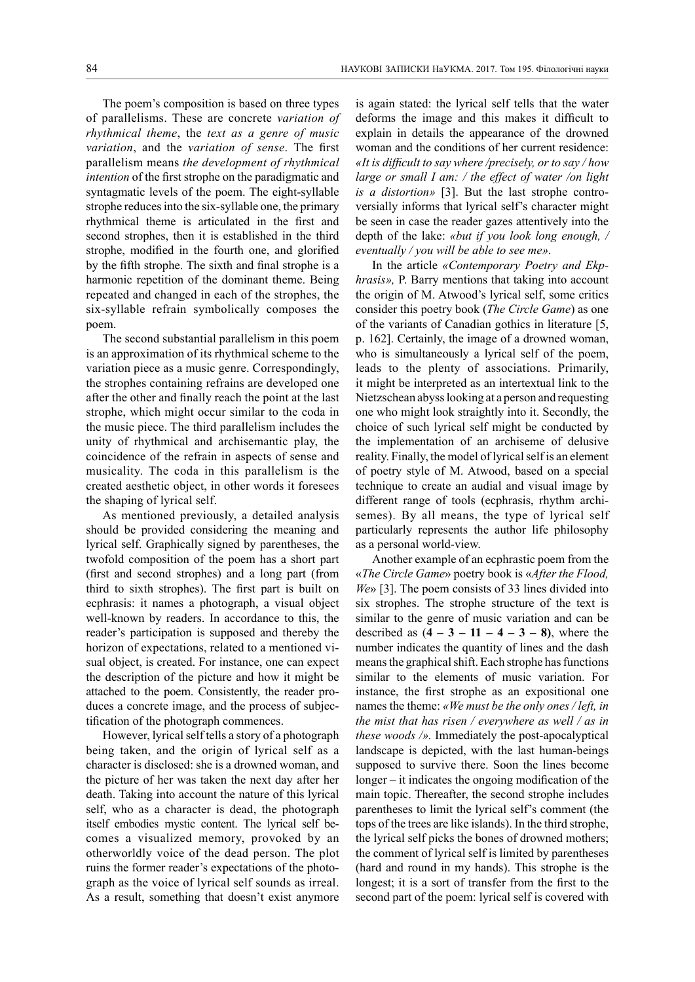The poem's composition is based on three types of parallelisms. These are concrete *variation of rhythmical theme*, the *text as a genre of music variation*, and the *variation of sense*. The first parallelism means *the development of rhythmical intention* of the first strophe on the paradigmatic and syntagmatic levels of the poem. The eight-syllable strophe reduces into the six-syllable one, the primary rhythmical theme is articulated in the first and second strophes, then it is established in the third strophe, modified in the fourth one, and glorified by the fifth strophe. The sixth and final strophe is a harmonic repetition of the dominant theme. Being repeated and changed in each of the strophes, the six-syllable refrain symbolically composes the poem.

The second substantial parallelism in this poem is an approximation of its rhythmical scheme to the variation piece as a music genre. Correspondingly, the strophes containing refrains are developed one after the other and finally reach the point at the last strophe, which might occur similar to the coda in the music piece. The third parallelism includes the unity of rhythmical and archisemantic play, the coincidence of the refrain in aspects of sense and musicality. The coda in this parallelism is the created aesthetic object, in other words it foresees the shaping of lyrical self.

As mentioned previously, a detailed analysis should be provided considering the meaning and lyrical self. Graphically signed by parentheses, the twofold composition of the poem has a short part (first and second strophes) and a long part (from third to sixth strophes). The first part is built on ecphrasis: it names a photograph, a visual object well-known by readers. In accordance to this, the reader's participation is supposed and thereby the horizon of expectations, related to a mentioned visual object, is created. For instance, one can expect the description of the picture and how it might be attached to the poem. Consistently, the reader produces a concrete image, and the process of subjectification of the photograph commences.

However, lyrical self tells a story of a photograph being taken, and the origin of lyrical self as a character is disclosed: she is a drowned woman, and the picture of her was taken the next day after her death. Taking into account the nature of this lyrical self, who as a character is dead, the photograph itself embodies mystic content. The lyrical self becomes a visualized memory, provoked by an otherworldly voice of the dead person. The plot ruins the former reader's expectations of the photograph as the voice of lyrical self sounds as irreal. As a result, something that doesn't exist anymore

is again stated: the lyrical self tells that the water deforms the image and this makes it difficult to explain in details the appearance of the drowned woman and the conditions of her current residence: *«It is difficult to say where /precisely, or to say / how large or small I am: / the effect of water /on light is a distortion»* [3]. But the last strophe controversially informs that lyrical self's character might be seen in case the reader gazes attentively into the depth of the lake: *«but if you look long enough, / eventually / you will be able to see me»*.

In the article *«Contemporary Poetry and Ekphrasis»,* P. Barry mentions that taking into account the origin of M. Atwood's lyrical self, some critics consider this poetry book (*The Circle Game*) as one of the variants of Canadian gothics in literature [5, p. 162]. Certainly, the image of a drowned woman, who is simultaneously a lyrical self of the poem, leads to the plenty of associations. Primarily, it might be interpreted as an intertextual link to the Nietzschean abyss looking at a person and requesting one who might look straightly into it. Secondly, the choice of such lyrical self might be conducted by the implementation of an archiseme of delusive reality. Finally, the model of lyrical self is an element of poetry style of M. Atwood, based on a special technique to create an audial and visual image by different range of tools (ecphrasis, rhythm archisemes). By all means, the type of lyrical self particularly represents the author life philosophy as a personal world-view.

Another example of an ecphrastic poem from the «*The Circle Game*» poetry book is «*After the Flood, We*» [3]. The poem consists of 33 lines divided into six strophes. The strophe structure of the text is similar to the genre of music variation and can be described as  $(4 - 3 - 11 - 4 - 3 - 8)$ , where the number indicates the quantity of lines and the dash means the graphical shift. Each strophe has functions similar to the elements of music variation. For instance, the first strophe as an expositional one names the theme: *«We must be the only ones / left, in the mist that has risen / everywhere as well / as in these woods /».* Immediately the post-apocalyptical landscape is depicted, with the last human-beings supposed to survive there. Soon the lines become longer – it indicates the ongoing modification of the main topic. Thereafter, the second strophe includes parentheses to limit the lyrical self's comment (the tops of the trees are like islands). In the third strophe, the lyrical self picks the bones of drowned mothers; the comment of lyrical self is limited by parentheses (hard and round in my hands). This strophe is the longest; it is a sort of transfer from the first to the second part of the poem: lyrical self is covered with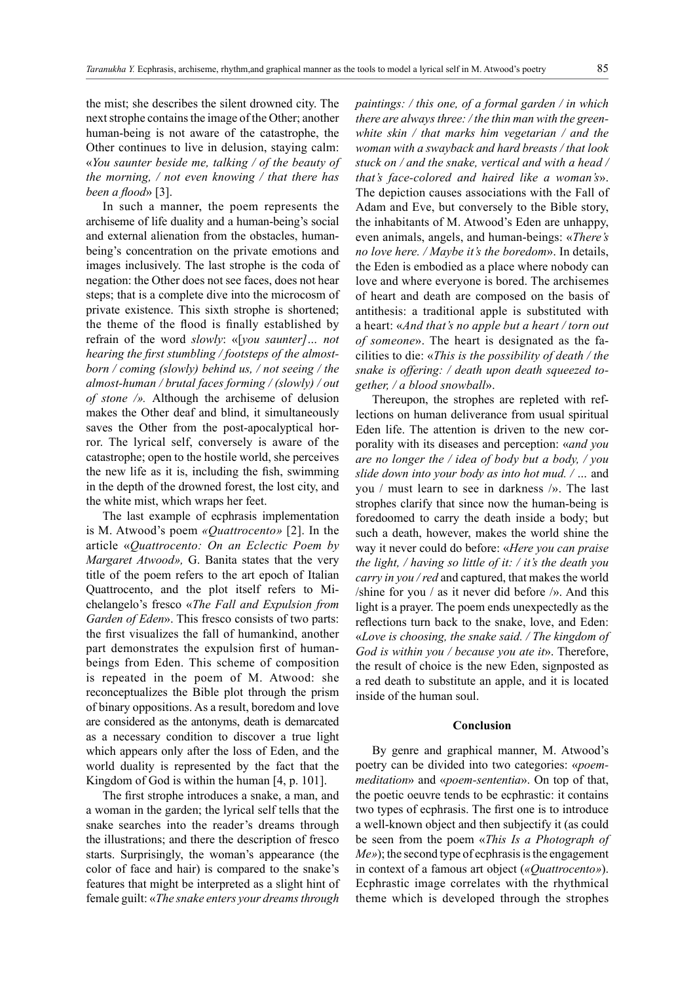the mist; she describes the silent drowned city. The next strophe contains the image of the Other; another human-being is not aware of the catastrophe, the Other continues to live in delusion, staying calm: «*You saunter beside me, talking / of the beauty of the morning, / not even knowing / that there has been a flood*» [3].

In such a manner, the poem represents the archiseme of life duality and a human-being's social and external alienation from the obstacles, humanbeing's concentration on the private emotions and images inclusively. The last strophe is the coda of negation: the Other does not see faces, does not hear steps; that is a complete dive into the microcosm of private existence. This sixth strophe is shortened; the theme of the flood is finally established by refrain of the word *slowly*: «[*you saunter]… not hearing the first stumbling / footsteps of the almostborn / coming (slowly) behind us, / not seeing / the almost-human / brutal faces forming / (slowly) / out of stone /».* Although the archiseme of delusion makes the Other deaf and blind, it simultaneously saves the Other from the post-apocalyptical horror. The lyrical self, conversely is aware of the catastrophe; open to the hostile world, she perceives the new life as it is, including the fish, swimming in the depth of the drowned forest, the lost city, and the white mist, which wraps her feet.

The last example of ecphrasis implementation is M. Atwood's poem *«Quattrocento»* [2]. In the article «*Quattrocento: On an Eclectic Poem by Margaret Atwood»,* G. Banita states that the very title of the poem refers to the art epoch of Italian Quattrocento, and the plot itself refers to Michelangelo's fresco «*The Fall and Expulsion from Garden of Eden*». This fresco consists of two parts: the first visualizes the fall of humankind, another part demonstrates the expulsion first of humanbeings from Eden. This scheme of composition is repeated in the poem of M. Atwood: she reconceptualizes the Bible plot through the prism of binary oppositions. As a result, boredom and love are considered as the antonyms, death is demarcated as a necessary condition to discover a true light which appears only after the loss of Eden, and the world duality is represented by the fact that the Kingdom of God is within the human [4, p. 101].

The first strophe introduces a snake, a man, and a woman in the garden; the lyrical self tells that the snake searches into the reader's dreams through the illustrations; and there the description of fresco starts. Surprisingly, the woman's appearance (the color of face and hair) is compared to the snake's features that might be interpreted as a slight hint of female guilt: «*The snake enters your dreams through*  *paintings: / this one, of a formal garden / in which there are always three: / the thin man with the greenwhite skin / that marks him vegetarian / and the woman with a swayback and hard breasts / that look stuck on / and the snake, vertical and with a head / that's face-colored and haired like a woman's*». The depiction causes associations with the Fall of Adam and Eve, but conversely to the Bible story, the inhabitants of M. Atwood's Eden are unhappy, even animals, angels, and human-beings: «*There's no love here. / Maybe it's the boredom*». In details, the Eden is embodied as a place where nobody can love and where everyone is bored. The archisemes of heart and death are composed on the basis of antithesis: a traditional apple is substituted with a heart: «*And that's no apple but a heart / torn out of someone*». The heart is designated as the facilities to die: «*This is the possibility of death / the snake is offering: / death upon death squeezed together, / a blood snowball*».

Thereupon, the strophes are repleted with reflections on human deliverance from usual spiritual Eden life. The attention is driven to the new corporality with its diseases and perception: «*and you are no longer the / idea of body but a body, / you slide down into your body as into hot mud. / …* and you / must learn to see in darkness /». The last strophes clarify that since now the human-being is foredoomed to carry the death inside a body; but such a death, however, makes the world shine the way it never could do before: «*Here you can praise the light, / having so little of it: / it's the death you carry in you / red* and captured, that makes the world /shine for you / as it never did before /». And this light is a prayer. The poem ends unexpectedly as the reflections turn back to the snake, love, and Eden: «*Love is choosing, the snake said. / The kingdom of God is within you / because you ate it*». Therefore, the result of choice is the new Eden, signposted as a red death to substitute an apple, and it is located inside of the human soul.

#### **Conclusion**

By genre and graphical manner, M. Atwood's poetry can be divided into two categories: «*poemmeditation*» and «*poem-sententia*». On top of that, the poetic oeuvre tends to be ecphrastic: it contains two types of ecphrasis. The first one is to introduce a well-known object and then subjectify it (as could be seen from the poem «*This Is a Photograph of Me»*); the second type of ecphrasis is the engagement in context of a famous art object (*«Quattrocento»*). Ecphrastic image correlates with the rhythmical theme which is developed through the strophes